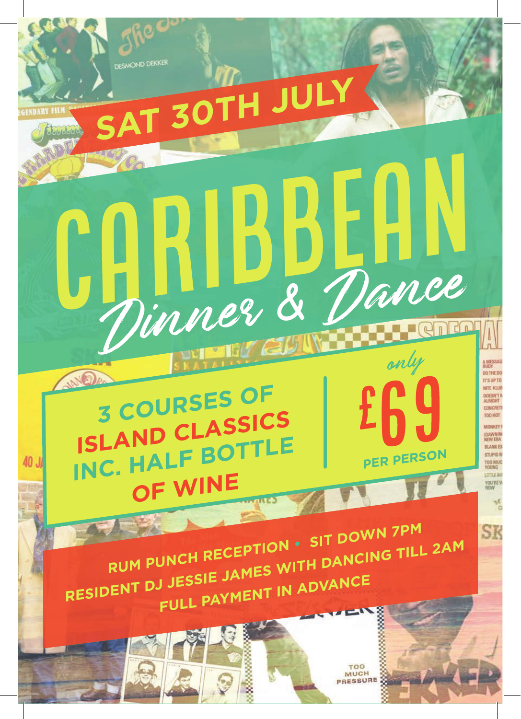